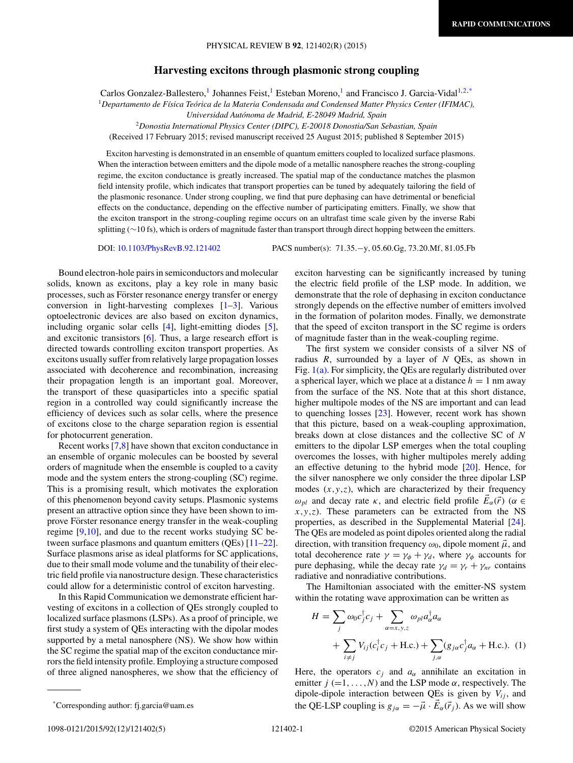## **Harvesting excitons through plasmonic strong coupling**

Carlos Gonzalez-Ballestero,<sup>1</sup> Johannes Feist,<sup>1</sup> Esteban Moreno,<sup>1</sup> and Francisco J. Garcia-Vidal<sup>1,2,\*</sup>

<sup>1</sup>*Departamento de F´ısica Teorica de la Materia Condensada and Condensed Matter Physics Center (IFIMAC), ´*

*Universidad Autonoma de Madrid, E-28049 Madrid, Spain ´*

<sup>2</sup>*Donostia International Physics Center (DIPC), E-20018 Donostia/San Sebastian, Spain*

(Received 17 February 2015; revised manuscript received 25 August 2015; published 8 September 2015)

Exciton harvesting is demonstrated in an ensemble of quantum emitters coupled to localized surface plasmons. When the interaction between emitters and the dipole mode of a metallic nanosphere reaches the strong-coupling regime, the exciton conductance is greatly increased. The spatial map of the conductance matches the plasmon field intensity profile, which indicates that transport properties can be tuned by adequately tailoring the field of the plasmonic resonance. Under strong coupling, we find that pure dephasing can have detrimental or beneficial effects on the conductance, depending on the effective number of participating emitters. Finally, we show that the exciton transport in the strong-coupling regime occurs on an ultrafast time scale given by the inverse Rabi splitting (∼10 fs), which is orders of magnitude faster than transport through direct hopping between the emitters.

DOI: [10.1103/PhysRevB.92.121402](http://dx.doi.org/10.1103/PhysRevB.92.121402) PACS number(s): 71*.*35*.*−y*,* 05*.*60*.*Gg*,* 73*.*20*.*Mf*,* 81*.*05*.*Fb

Bound electron-hole pairs in semiconductors and molecular solids, known as excitons, play a key role in many basic processes, such as Förster resonance energy transfer or energy conversion in light-harvesting complexes [\[1–3\]](#page-3-0). Various optoelectronic devices are also based on exciton dynamics, including organic solar cells [\[4\]](#page-3-0), light-emitting diodes [\[5\]](#page-3-0), and excitonic transistors [\[6\]](#page-4-0). Thus, a large research effort is directed towards controlling exciton transport properties. As excitons usually suffer from relatively large propagation losses associated with decoherence and recombination, increasing their propagation length is an important goal. Moreover, the transport of these quasiparticles into a specific spatial region in a controlled way could significantly increase the efficiency of devices such as solar cells, where the presence of excitons close to the charge separation region is essential for photocurrent generation.

Recent works [\[7,8\]](#page-4-0) have shown that exciton conductance in an ensemble of organic molecules can be boosted by several orders of magnitude when the ensemble is coupled to a cavity mode and the system enters the strong-coupling (SC) regime. This is a promising result, which motivates the exploration of this phenomenon beyond cavity setups. Plasmonic systems present an attractive option since they have been shown to improve Förster resonance energy transfer in the weak-coupling regime [\[9,10\]](#page-4-0), and due to the recent works studying SC between surface plasmons and quantum emitters (QEs) [\[11–22\]](#page-4-0). Surface plasmons arise as ideal platforms for SC applications, due to their small mode volume and the tunability of their electric field profile via nanostructure design. These characteristics could allow for a deterministic control of exciton harvesting.

In this Rapid Communication we demonstrate efficient harvesting of excitons in a collection of QEs strongly coupled to localized surface plasmons (LSPs). As a proof of principle, we first study a system of QEs interacting with the dipolar modes supported by a metal nanosphere (NS). We show how within the SC regime the spatial map of the exciton conductance mirrors the field intensity profile. Employing a structure composed of three aligned nanospheres, we show that the efficiency of exciton harvesting can be significantly increased by tuning the electric field profile of the LSP mode. In addition, we demonstrate that the role of dephasing in exciton conductance strongly depends on the effective number of emitters involved in the formation of polariton modes. Finally, we demonstrate that the speed of exciton transport in the SC regime is orders of magnitude faster than in the weak-coupling regime.

The first system we consider consists of a silver NS of radius *R*, surrounded by a layer of *N* QEs, as shown in Fig. [1\(a\).](#page-1-0) For simplicity, the QEs are regularly distributed over a spherical layer, which we place at a distance  $h = 1$  nm away from the surface of the NS. Note that at this short distance, higher multipole modes of the NS are important and can lead to quenching losses [\[23\]](#page-4-0). However, recent work has shown that this picture, based on a weak-coupling approximation, breaks down at close distances and the collective SC of *N* emitters to the dipolar LSP emerges when the total coupling overcomes the losses, with higher multipoles merely adding an effective detuning to the hybrid mode [\[20\]](#page-4-0). Hence, for the silver nanosphere we only consider the three dipolar LSP modes  $(x, y, z)$ , which are characterized by their frequency *ω<sub>pl</sub>* and decay rate *κ*, and electric field profile  $E_\alpha(\vec{r})$  (*α* ∈ *x,y,z*). These parameters can be extracted from the NS properties, as described in the Supplemental Material [\[24\]](#page-4-0). The QEs are modeled as point dipoles oriented along the radial direction, with transition frequency  $\omega_0$ , dipole moment  $\vec{\mu}$ , and total decoherence rate  $\gamma = \gamma_{\phi} + \gamma_{d}$ , where  $\gamma_{\phi}$  accounts for pure dephasing, while the decay rate  $\gamma_d = \gamma_r + \gamma_{nr}$  contains radiative and nonradiative contributions.

The Hamiltonian associated with the emitter-NS system within the rotating wave approximation can be written as

$$
H = \sum_{j} \omega_0 c_j^{\dagger} c_j + \sum_{\alpha = x, y, z} \omega_{pl} a_{\alpha}^{\dagger} a_{\alpha}
$$
  
+ 
$$
\sum_{i \neq j} V_{ij} (c_i^{\dagger} c_j + \text{H.c.}) + \sum_{j, \alpha} (g_{j\alpha} c_j^{\dagger} a_{\alpha} + \text{H.c.}). \tag{1}
$$

Here, the operators  $c_j$  and  $a_\alpha$  annihilate an excitation in emitter  $j (=1, \ldots, N)$  and the LSP mode  $\alpha$ , respectively. The dipole-dipole interaction between QEs is given by  $V_{ij}$ , and the QE-LSP coupling is  $g_{j\alpha} = -\vec{\mu} \cdot \vec{E}_{\alpha}(\vec{r}_j)$ . As we will show

<sup>\*</sup>Corresponding author: fj.garcia@uam.es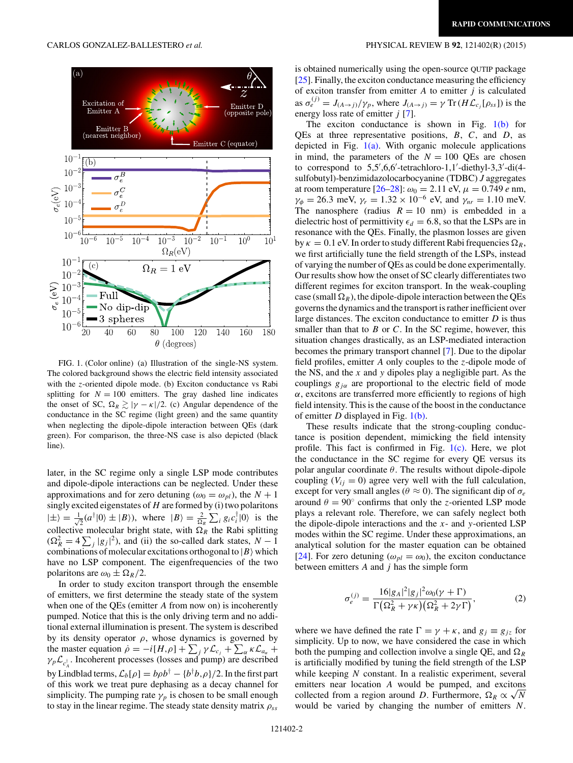<span id="page-1-0"></span>

FIG. 1. (Color online) (a) Illustration of the single-NS system. The colored background shows the electric field intensity associated with the *z*-oriented dipole mode. (b) Exciton conductance vs Rabi splitting for  $N = 100$  emitters. The gray dashed line indicates the onset of SC,  $\Omega_R \gtrsim |\gamma - \kappa|/2$ . (c) Angular dependence of the conductance in the SC regime (light green) and the same quantity when neglecting the dipole-dipole interaction between QEs (dark green). For comparison, the three-NS case is also depicted (black line).

later, in the SC regime only a single LSP mode contributes and dipole-dipole interactions can be neglected. Under these approximations and for zero detuning ( $\omega_0 = \omega_{pl}$ ), the  $N + 1$ singly excited eigenstates of *H* are formed by (i) two polaritons  $|\pm\rangle = \frac{1}{4}$  $\frac{1}{2}(a^{\dagger}|0\rangle \pm |B\rangle)$ , where  $|B\rangle = \frac{2}{\Omega_R} \sum_i g_i c_i^{\dagger} |0\rangle$  is the collective molecular bright state, with  $\Omega_R$  the Rabi splitting  $(\Omega_R^2 = 4 \sum_j |g_j|^2)$ , and (ii) the so-called dark states,  $N - 1$ combinations of molecular excitations orthogonal to  $|B\rangle$  which have no LSP component. The eigenfrequencies of the two polaritons are  $\omega_0 \pm \Omega_R/2$ .

In order to study exciton transport through the ensemble of emitters, we first determine the steady state of the system when one of the QEs (emitter *A* from now on) is incoherently pumped. Notice that this is the only driving term and no additional external illumination is present. The system is described by its density operator  $\rho$ , whose dynamics is governed by the master equation  $\dot{\rho} = -i[H,\rho] + \sum_j \gamma \mathcal{L}_{c_j} + \sum_{\alpha} \kappa \mathcal{L}_{a_{\alpha}} +$  $\gamma_p \mathcal{L}_{c_A^{\dagger}}$ . Incoherent processes (losses and pump) are described by Lindblad terms,  $\mathcal{L}_b[\rho] = b\rho b^\dagger - \{b^\dagger b, \rho\}/2$ . In the first part of this work we treat pure dephasing as a decay channel for simplicity. The pumping rate  $\gamma_p$  is chosen to be small enough to stay in the linear regime. The steady state density matrix *ρss*

is obtained numerically using the open-source QUTIP package  $[25]$ . Finally, the exciton conductance measuring the efficiency of exciton transfer from emitter *A* to emitter *j* is calculated as  $\sigma_e^{(j)} = J_{(A \to j)}/\gamma_p$ , where  $J_{(A \to j)} = \gamma \text{Tr}(H \mathcal{L}_{c_j}[\rho_{ss}])$  is the energy loss rate of emitter *j* [\[7\]](#page-4-0).

The exciton conductance is shown in Fig. 1(b) for QEs at three representative positions, *B*, *C*, and *D*, as depicted in Fig.  $1(a)$ . With organic molecule applications in mind, the parameters of the  $N = 100$  QEs are chosen to correspond to  $5.5', 6.6'$ -tetrachloro-1,1'-diethyl-3,3'-di(4sulfobutyl)-benzimidazolocarbocyanine (TDBC) *J* aggregates at room temperature  $[26-28]$ :  $\omega_0 = 2.11$  eV,  $\mu = 0.749$  *e* nm,  $\gamma_{\phi} = 26.3$  meV,  $\gamma_r = 1.32 \times 10^{-6}$  eV, and  $\gamma_{nr} = 1.10$  meV. The nanosphere (radius  $R = 10$  nm) is embedded in a dielectric host of permittivity  $\epsilon_d = 6.8$ , so that the LSPs are in resonance with the QEs. Finally, the plasmon losses are given by  $\kappa = 0.1$  eV. In order to study different Rabi frequencies  $\Omega_R$ , we first artificially tune the field strength of the LSPs, instead of varying the number of QEs as could be done experimentally. Our results show how the onset of SC clearly differentiates two different regimes for exciton transport. In the weak-coupling case (small  $\Omega_R$ ), the dipole-dipole interaction between the QEs governs the dynamics and the transport is rather inefficient over large distances. The exciton conductance to emitter *D* is thus smaller than that to *B* or *C*. In the SC regime, however, this situation changes drastically, as an LSP-mediated interaction becomes the primary transport channel [\[7\]](#page-4-0). Due to the dipolar field profiles, emitter *A* only couples to the *z*-dipole mode of the NS, and the *x* and *y* dipoles play a negligible part. As the couplings *gjα* are proportional to the electric field of mode *α*, excitons are transferred more efficiently to regions of high field intensity. This is the cause of the boost in the conductance of emitter *D* displayed in Fig. 1(b).

These results indicate that the strong-coupling conductance is position dependent, mimicking the field intensity profile. This fact is confirmed in Fig.  $1(c)$ . Here, we plot the conductance in the SC regime for every QE versus its polar angular coordinate *θ*. The results without dipole-dipole coupling  $(V_{ij} = 0)$  agree very well with the full calculation, except for very small angles ( $\theta \approx 0$ ). The significant dip of  $\sigma_e$ around  $\theta = 90^\circ$  confirms that only the *z*-oriented LSP mode plays a relevant role. Therefore, we can safely neglect both the dipole-dipole interactions and the *x*- and *y*-oriented LSP modes within the SC regime. Under these approximations, an analytical solution for the master equation can be obtained [\[24\]](#page-4-0). For zero detuning ( $\omega_{pl} = \omega_0$ ), the exciton conductance between emitters *A* and *j* has the simple form

$$
\sigma_e^{(j)} = \frac{16|g_A|^2|g_j|^2 \omega_0(\gamma + \Gamma)}{\Gamma(\Omega_R^2 + \gamma \kappa)(\Omega_R^2 + 2\gamma \Gamma)},\tag{2}
$$

where we have defined the rate  $\Gamma = \gamma + \kappa$ , and  $g_j \equiv g_{j\bar{z}}$  for simplicity. Up to now, we have considered the case in which both the pumping and collection involve a single QE, and  $\Omega_R$ is artificially modified by tuning the field strength of the LSP while keeping *N* constant. In a realistic experiment, several emitters near location *A* would be pumped, and excitons collected from a region around *D*. Furthermore,  $\Omega_R \propto \sqrt{N}$ would be varied by changing the number of emitters *N*.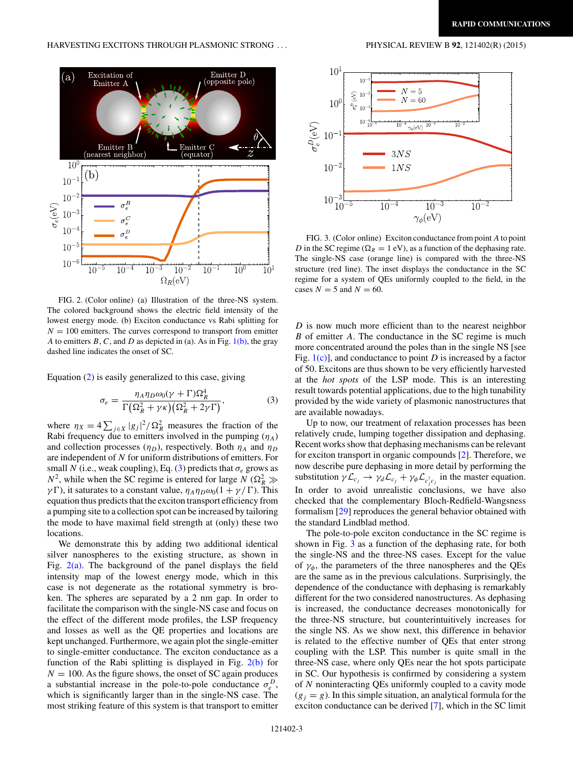<span id="page-2-0"></span>

FIG. 2. (Color online) (a) Illustration of the three-NS system. The colored background shows the electric field intensity of the lowest energy mode. (b) Exciton conductance vs Rabi splitting for  $N = 100$  emitters. The curves correspond to transport from emitter *A* to emitters *B*, *C*, and *D* as depicted in (a). As in Fig.  $1(b)$ , the gray dashed line indicates the onset of SC.

Equation [\(2\)](#page-1-0) is easily generalized to this case, giving

$$
\sigma_e = \frac{\eta_A \eta_D \omega_0 (\gamma + \Gamma) \Omega_R^4}{\Gamma \left( \Omega_R^2 + \gamma \kappa \right) \left( \Omega_R^2 + 2 \gamma \Gamma \right)},\tag{3}
$$

where  $\eta_X = 4 \sum_{j \in X} |g_j|^2 / \Omega_R^2$  measures the fraction of the Rabi frequency due to emitters involved in the pumping  $(\eta_A)$ and collection processes  $(\eta_D)$ , respectively. Both  $\eta_A$  and  $\eta_D$ are independent of *N* for uniform distributions of emitters. For small *N* (i.e., weak coupling), Eq. (3) predicts that  $\sigma_e$  grows as  $N^2$ , while when the SC regime is entered for large *N* ( $\Omega_R^2 \gg$ *γ* $\Gamma$ ), it saturates to a constant value,  $η_Aη_Dω_0(1 + γ/\Gamma)$ . This equation thus predicts that the exciton transport efficiency from a pumping site to a collection spot can be increased by tailoring the mode to have maximal field strength at (only) these two locations.

We demonstrate this by adding two additional identical silver nanospheres to the existing structure, as shown in Fig.  $2(a)$ . The background of the panel displays the field intensity map of the lowest energy mode, which in this case is not degenerate as the rotational symmetry is broken. The spheres are separated by a 2 nm gap. In order to facilitate the comparison with the single-NS case and focus on the effect of the different mode profiles, the LSP frequency and losses as well as the QE properties and locations are kept unchanged. Furthermore, we again plot the single-emitter to single-emitter conductance. The exciton conductance as a function of the Rabi splitting is displayed in Fig.  $2(b)$  for  $N = 100$ . As the figure shows, the onset of SC again produces a substantial increase in the pole-to-pole conductance  $\sigma_e^D$ , which is significantly larger than in the single-NS case. The most striking feature of this system is that transport to emitter



FIG. 3. (Color online) Exciton conductance from point *A* to point *D* in the SC regime ( $\Omega_R = 1$  eV), as a function of the dephasing rate. The single-NS case (orange line) is compared with the three-NS structure (red line). The inset displays the conductance in the SC regime for a system of QEs uniformly coupled to the field, in the cases  $N = 5$  and  $N = 60$ .

*D* is now much more efficient than to the nearest neighbor *B* of emitter *A*. The conductance in the SC regime is much more concentrated around the poles than in the single NS [see Fig. [1\(c\)\]](#page-1-0), and conductance to point *D* is increased by a factor of 50. Excitons are thus shown to be very efficiently harvested at the *hot spots* of the LSP mode. This is an interesting result towards potential applications, due to the high tunability provided by the wide variety of plasmonic nanostructures that are available nowadays.

Up to now, our treatment of relaxation processes has been relatively crude, lumping together dissipation and dephasing. Recent works show that dephasing mechanisms can be relevant for exciton transport in organic compounds [\[2\]](#page-3-0). Therefore, we now describe pure dephasing in more detail by performing the substitution  $\gamma L_{c_j} \to \gamma_d L_{c_j} + \gamma_\phi L_{c_j^{\dagger} c_j}$  in the master equation. In order to avoid unrealistic conclusions, we have also checked that the complementary Bloch-Redfield-Wangsness formalism [\[29\]](#page-4-0) reproduces the general behavior obtained with the standard Lindblad method.

The pole-to-pole exciton conductance in the SC regime is shown in Fig. 3 as a function of the dephasing rate, for both the single-NS and the three-NS cases. Except for the value of  $\gamma_{\phi}$ , the parameters of the three nanospheres and the QEs are the same as in the previous calculations. Surprisingly, the dependence of the conductance with dephasing is remarkably different for the two considered nanostructures. As dephasing is increased, the conductance decreases monotonically for the three-NS structure, but counterintuitively increases for the single NS. As we show next, this difference in behavior is related to the effective number of QEs that enter strong coupling with the LSP. This number is quite small in the three-NS case, where only QEs near the hot spots participate in SC. Our hypothesis is confirmed by considering a system of *N* noninteracting QEs uniformly coupled to a cavity mode  $(g_i = g)$ . In this simple situation, an analytical formula for the exciton conductance can be derived [\[7\]](#page-4-0), which in the SC limit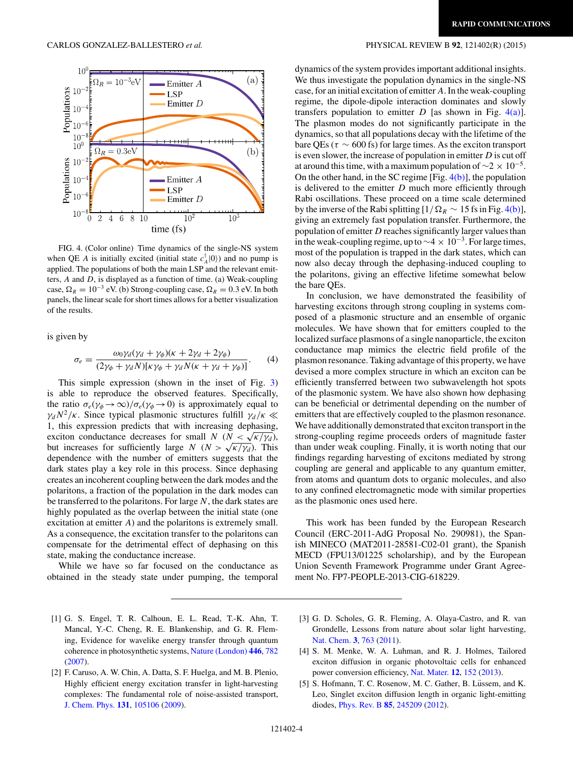

FIG. 4. (Color online) Time dynamics of the single-NS system when QE *A* is initially excited (initial state  $c_A^{\dagger}$  |0)) and no pump is applied. The populations of both the main LSP and the relevant emitters, *A* and *D*, is displayed as a function of time. (a) Weak-coupling case,  $\Omega_R = 10^{-3}$  eV. (b) Strong-coupling case,  $\Omega_R = 0.3$  eV. In both panels, the linear scale for short times allows for a better visualization of the results.

is given by

$$
\sigma_e = \frac{\omega_0 \gamma_d (\gamma_d + \gamma_\phi)(\kappa + 2\gamma_d + 2\gamma_\phi)}{(2\gamma_\phi + \gamma_d N)[\kappa \gamma_\phi + \gamma_d N(\kappa + \gamma_d + \gamma_\phi)]}.
$$
 (4)

This simple expression (shown in the inset of Fig. [3\)](#page-2-0) is able to reproduce the observed features. Specifically, the ratio  $\sigma_e(\gamma_\phi \to \infty)/\sigma_e(\gamma_\phi \to 0)$  is approximately equal to  $\gamma_d N^2/\kappa$ . Since typical plasmonic structures fulfill  $\gamma_d/\kappa \ll$ 1, this expression predicts that with increasing dephasing, exciton conductance decreases for small *N* ( $N < \sqrt{\frac{\kappa}{\gamma d}}$ ), but increases for sufficiently large *N* ( $N > \sqrt{\frac{\kappa}{\gamma d}}$ ). This dependence with the number of emitters suggests that the dark states play a key role in this process. Since dephasing creates an incoherent coupling between the dark modes and the polaritons, a fraction of the population in the dark modes can be transferred to the polaritons. For large *N*, the dark states are highly populated as the overlap between the initial state (one excitation at emitter *A*) and the polaritons is extremely small. As a consequence, the excitation transfer to the polaritons can compensate for the detrimental effect of dephasing on this state, making the conductance increase.

While we have so far focused on the conductance as obtained in the steady state under pumping, the temporal

- [1] G. S. Engel, T. R. Calhoun, E. L. Read, T.-K. Ahn, T. Mancal, Y.-C. Cheng, R. E. Blankenship, and G. R. Fleming, Evidence for wavelike energy transfer through quantum coherence in photosynthetic systems, [Nature \(London\)](http://dx.doi.org/10.1038/nature05678) **[446](http://dx.doi.org/10.1038/nature05678)**, [782](http://dx.doi.org/10.1038/nature05678) [\(2007\)](http://dx.doi.org/10.1038/nature05678).
- [2] F. Caruso, A. W. Chin, A. Datta, S. F. Huelga, and M. B. Plenio, Highly efficient energy excitation transfer in light-harvesting complexes: The fundamental role of noise-assisted transport, [J. Chem. Phys.](http://dx.doi.org/10.1063/1.3223548) **[131](http://dx.doi.org/10.1063/1.3223548)**, [105106](http://dx.doi.org/10.1063/1.3223548) [\(2009\)](http://dx.doi.org/10.1063/1.3223548).

## <span id="page-3-0"></span>CARLOS GONZALEZ-BALLESTERO *et al.* PHYSICAL REVIEW B **92**, 121402(R) (2015)

dynamics of the system provides important additional insights. We thus investigate the population dynamics in the single-NS case, for an initial excitation of emitter *A*. In the weak-coupling regime, the dipole-dipole interaction dominates and slowly transfers population to emitter  $D$  [as shown in Fig. 4(a)]. The plasmon modes do not significantly participate in the dynamics, so that all populations decay with the lifetime of the bare QEs ( $\tau \sim 600$  fs) for large times. As the exciton transport is even slower, the increase of population in emitter *D* is cut off at around this time, with a maximum population of  $\sim$ 2 × 10<sup>-5</sup>. On the other hand, in the SC regime [Fig.  $4(b)$ ], the population is delivered to the emitter *D* much more efficiently through Rabi oscillations. These proceed on a time scale determined by the inverse of the Rabi splitting  $[1/\Omega_R \sim 15$  fs in Fig. 4(b)], giving an extremely fast population transfer. Furthermore, the population of emitter *D* reaches significantly larger values than in the weak-coupling regime, up to  $\sim$ 4 × 10<sup>-3</sup>. For large times, most of the population is trapped in the dark states, which can now also decay through the dephasing-induced coupling to the polaritons, giving an effective lifetime somewhat below the bare QEs.

In conclusion, we have demonstrated the feasibility of harvesting excitons through strong coupling in systems composed of a plasmonic structure and an ensemble of organic molecules. We have shown that for emitters coupled to the localized surface plasmons of a single nanoparticle, the exciton conductance map mimics the electric field profile of the plasmon resonance. Taking advantage of this property, we have devised a more complex structure in which an exciton can be efficiently transferred between two subwavelength hot spots of the plasmonic system. We have also shown how dephasing can be beneficial or detrimental depending on the number of emitters that are effectively coupled to the plasmon resonance. We have additionally demonstrated that exciton transport in the strong-coupling regime proceeds orders of magnitude faster than under weak coupling. Finally, it is worth noting that our findings regarding harvesting of excitons mediated by strong coupling are general and applicable to any quantum emitter, from atoms and quantum dots to organic molecules, and also to any confined electromagnetic mode with similar properties as the plasmonic ones used here.

This work has been funded by the European Research Council (ERC-2011-AdG Proposal No. 290981), the Spanish MINECO (MAT2011-28581-C02-01 grant), the Spanish MECD (FPU13/01225 scholarship), and by the European Union Seventh Framework Programme under Grant Agreement No. FP7-PEOPLE-2013-CIG-618229.

- [3] G. D. Scholes, G. R. Fleming, A. Olaya-Castro, and R. van Grondelle, Lessons from nature about solar light harvesting, [Nat. Chem.](http://dx.doi.org/10.1038/nchem.1145) **[3](http://dx.doi.org/10.1038/nchem.1145)**, [763](http://dx.doi.org/10.1038/nchem.1145) [\(2011\)](http://dx.doi.org/10.1038/nchem.1145).
- [4] S. M. Menke, W. A. Luhman, and R. J. Holmes, Tailored exciton diffusion in organic photovoltaic cells for enhanced power conversion efficiency, [Nat. Mater.](http://dx.doi.org/10.1038/nmat3467) **[12](http://dx.doi.org/10.1038/nmat3467)**, [152](http://dx.doi.org/10.1038/nmat3467) [\(2013\)](http://dx.doi.org/10.1038/nmat3467).
- [5] S. Hofmann, T. C. Rosenow, M. C. Gather, B. Lüssem, and K. Leo, Singlet exciton diffusion length in organic light-emitting diodes, [Phys. Rev. B](http://dx.doi.org/10.1103/PhysRevB.85.245209) **[85](http://dx.doi.org/10.1103/PhysRevB.85.245209)**, [245209](http://dx.doi.org/10.1103/PhysRevB.85.245209) [\(2012\)](http://dx.doi.org/10.1103/PhysRevB.85.245209).